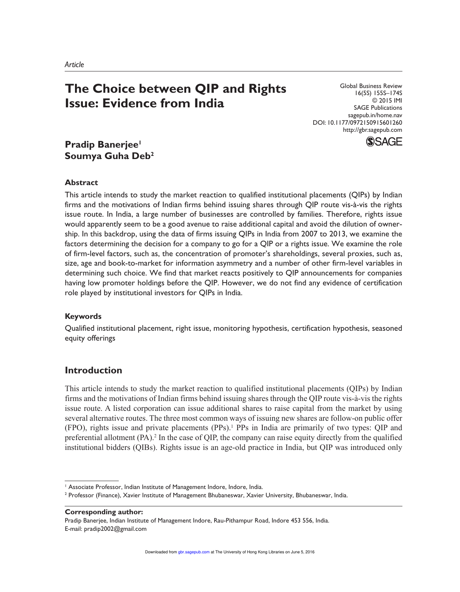# **The Choice between QIP and Rights Issue: Evidence from India**

Global Business Review 16(5S) 155S–174S © 2015 IMI SAGE Publications sagepub.in/home.nav DOI: 10.1177/0972150915601260 http://gbr.sagepub.com



## **Pradip Banerjee<sup>1</sup> Soumya Guha Deb<sup>2</sup>**

### **Abstract**

This article intends to study the market reaction to qualified institutional placements (QIPs) by Indian firms and the motivations of Indian firms behind issuing shares through QIP route vis-à-vis the rights issue route. In India, a large number of businesses are controlled by families. Therefore, rights issue would apparently seem to be a good avenue to raise additional capital and avoid the dilution of ownership. In this backdrop, using the data of firms issuing QIPs in India from 2007 to 2013, we examine the factors determining the decision for a company to go for a QIP or a rights issue. We examine the role of firm-level factors, such as, the concentration of promoter's shareholdings, several proxies, such as, size, age and book-to-market for information asymmetry and a number of other firm-level variables in determining such choice. We find that market reacts positively to QIP announcements for companies having low promoter holdings before the QIP. However, we do not find any evidence of certification role played by institutional investors for QIPs in India.

#### **Keywords**

Qualified institutional placement, right issue, monitoring hypothesis, certification hypothesis, seasoned equity offerings

## **Introduction**

This article intends to study the market reaction to qualified institutional placements (QIPs) by Indian firms and the motivations of Indian firms behind issuing shares through the QIP route vis-à-vis the rights issue route. A listed corporation can issue additional shares to raise capital from the market by using several alternative routes. The three most common ways of issuing new shares are follow-on public offer (FPO), rights issue and private placements (PPs).<sup>1</sup> PPs in India are primarily of two types: QIP and preferential allotment  $(PA)$ .<sup>2</sup> In the case of QIP, the company can raise equity directly from the qualified institutional bidders (QIBs). Rights issue is an age-old practice in India, but QIP was introduced only

**Corresponding author:**

Pradip Banerjee, Indian Institute of Management Indore, Rau-Pithampur Road, Indore 453 556, India. E-mail: pradip2002@gmail.com

<sup>&</sup>lt;sup>1</sup> Associate Professor, Indian Institute of Management Indore, Indore, India.

<sup>2</sup> Professor (Finance), Xavier Institute of Management Bhubaneswar, Xavier University, Bhubaneswar, India.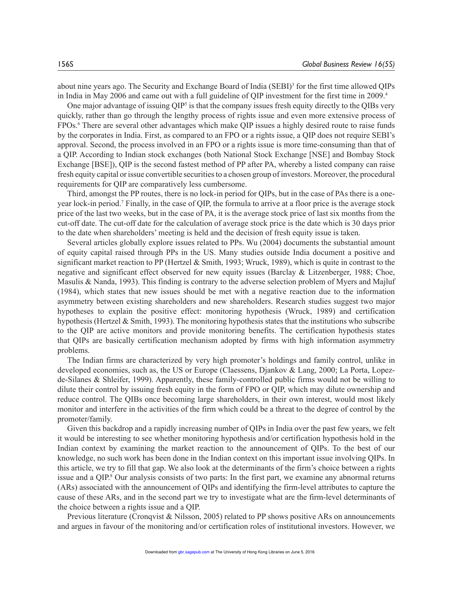about nine years ago. The Security and Exchange Board of India (SEBI)<sup>3</sup> for the first time allowed QIPs in India in May 2006 and came out with a full guideline of QIP investment for the first time in 2009.<sup>4</sup>

One major advantage of issuing  $QIP<sup>5</sup>$  is that the company issues fresh equity directly to the QIBs very quickly, rather than go through the lengthy process of rights issue and even more extensive process of FPOs.<sup>6</sup> There are several other advantages which make QIP issues a highly desired route to raise funds by the corporates in India. First, as compared to an FPO or a rights issue, a QIP does not require SEBI's approval. Second, the process involved in an FPO or a rights issue is more time-consuming than that of a QIP. According to Indian stock exchanges (both National Stock Exchange [NSE] and Bombay Stock Exchange [BSE]), QIP is the second fastest method of PP after PA, whereby a listed company can raise fresh equity capital or issue convertible securities to a chosen group of investors. Moreover, the procedural requirements for QIP are comparatively less cumbersome.

Third, amongst the PP routes, there is no lock-in period for QIPs, but in the case of PAs there is a oneyear lock-in period.<sup>7</sup> Finally, in the case of QIP, the formula to arrive at a floor price is the average stock price of the last two weeks, but in the case of PA, it is the average stock price of last six months from the cut-off date. The cut-off date for the calculation of average stock price is the date which is 30 days prior to the date when shareholders' meeting is held and the decision of fresh equity issue is taken.

Several articles globally explore issues related to PPs. Wu (2004) documents the substantial amount of equity capital raised through PPs in the US. Many studies outside India document a positive and significant market reaction to PP (Hertzel & Smith, 1993; Wruck, 1989), which is quite in contrast to the negative and significant effect observed for new equity issues (Barclay & Litzenberger, 1988; Choe, Masulis & Nanda, 1993). This finding is contrary to the adverse selection problem of Myers and Majluf (1984), which states that new issues should be met with a negative reaction due to the information asymmetry between existing shareholders and new shareholders. Research studies suggest two major hypotheses to explain the positive effect: monitoring hypothesis (Wruck, 1989) and certification hypothesis (Hertzel  $&$  Smith, 1993). The monitoring hypothesis states that the institutions who subscribe to the QIP are active monitors and provide monitoring benefits. The certification hypothesis states that QIPs are basically certification mechanism adopted by firms with high information asymmetry problems.

The Indian firms are characterized by very high promoter's holdings and family control, unlike in developed economies, such as, the US or Europe (Claessens, Djankov & Lang, 2000; La Porta, Lopezde-Silanes & Shleifer, 1999). Apparently, these family-controlled public firms would not be willing to dilute their control by issuing fresh equity in the form of FPO or QIP, which may dilute ownership and reduce control. The QIBs once becoming large shareholders, in their own interest, would most likely monitor and interfere in the activities of the firm which could be a threat to the degree of control by the promoter/family.

Given this backdrop and a rapidly increasing number of QIPs in India over the past few years, we felt it would be interesting to see whether monitoring hypothesis and/or certification hypothesis hold in the Indian context by examining the market reaction to the announcement of QIPs. To the best of our knowledge, no such work has been done in the Indian context on this important issue involving QIPs. In this article, we try to fill that gap. We also look at the determinants of the firm's choice between a rights issue and a QIP.<sup>8</sup> Our analysis consists of two parts: In the first part, we examine any abnormal returns (ARs) associated with the announcement of QIPs and identifying the firm-level attributes to capture the cause of these ARs, and in the second part we try to investigate what are the firm-level determinants of the choice between a rights issue and a QIP.

Previous literature (Cronqvist  $& Nilsson, 2005)$  related to PP shows positive ARs on announcements and argues in favour of the monitoring and/or certification roles of institutional investors. However, we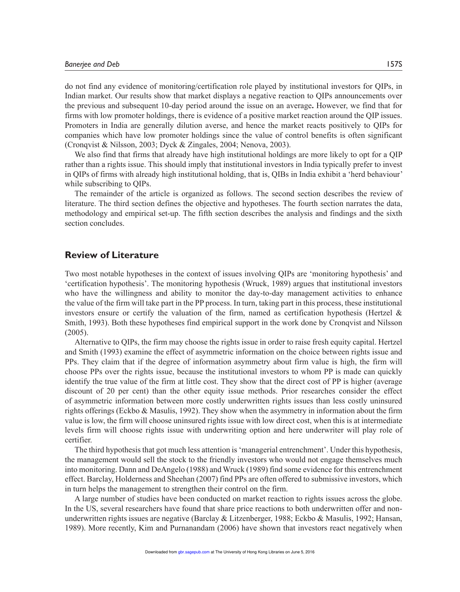do not find any evidence of monitoring/certification role played by institutional investors for QIPs, in Indian market. Our results show that market displays a negative reaction to QIPs announcements over the previous and subsequent 10-day period around the issue on an average**.** However, we find that for firms with low promoter holdings, there is evidence of a positive market reaction around the QIP issues. Promoters in India are generally dilution averse, and hence the market reacts positively to QIPs for companies which have low promoter holdings since the value of control benefits is often significant (Cronqvist & Nilsson, 2003; Dyck & Zingales, 2004; Nenova, 2003).

We also find that firms that already have high institutional holdings are more likely to opt for a QIP rather than a rights issue. This should imply that institutional investors in India typically prefer to invest in QIPs of firms with already high institutional holding, that is, QIBs in India exhibit a 'herd behaviour' while subscribing to QIPs.

The remainder of the article is organized as follows. The second section describes the review of literature. The third section defines the objective and hypotheses. The fourth section narrates the data, methodology and empirical set-up. The fifth section describes the analysis and findings and the sixth section concludes.

### **Review of Literature**

Two most notable hypotheses in the context of issues involving QIPs are 'monitoring hypothesis' and 'certification hypothesis'. The monitoring hypothesis (Wruck, 1989) argues that institutional investors who have the willingness and ability to monitor the day-to-day management activities to enhance the value of the firm will take part in the PP process. In turn, taking part in this process, these institutional investors ensure or certify the valuation of the firm, named as certification hypothesis (Hertzel  $\&$ Smith, 1993). Both these hypotheses find empirical support in the work done by Cronqvist and Nilsson (2005).

Alternative to QIPs, the firm may choose the rights issue in order to raise fresh equity capital. Hertzel and Smith (1993) examine the effect of asymmetric information on the choice between rights issue and PPs. They claim that if the degree of information asymmetry about firm value is high, the firm will choose PPs over the rights issue, because the institutional investors to whom PP is made can quickly identify the true value of the firm at little cost. They show that the direct cost of PP is higher (average discount of 20 per cent) than the other equity issue methods. Prior researches consider the effect of asymmetric information between more costly underwritten rights issues than less costly uninsured rights offerings (Eckbo & Masulis, 1992). They show when the asymmetry in information about the firm value is low, the firm will choose uninsured rights issue with low direct cost, when this is at intermediate levels firm will choose rights issue with underwriting option and here underwriter will play role of certifier.

The third hypothesis that got much less attention is 'managerial entrenchment'. Under this hypothesis, the management would sell the stock to the friendly investors who would not engage themselves much into monitoring. Dann and DeAngelo (1988) and Wruck (1989) find some evidence for this entrenchment effect. Barclay, Holderness and Sheehan (2007) find PPs are often offered to submissive investors, which in turn helps the management to strengthen their control on the firm.

A large number of studies have been conducted on market reaction to rights issues across the globe. In the US, several researchers have found that share price reactions to both underwritten offer and nonunderwritten rights issues are negative (Barclay & Litzenberger, 1988; Eckbo & Masulis, 1992; Hansan, 1989). More recently, Kim and Purnanandam (2006) have shown that investors react negatively when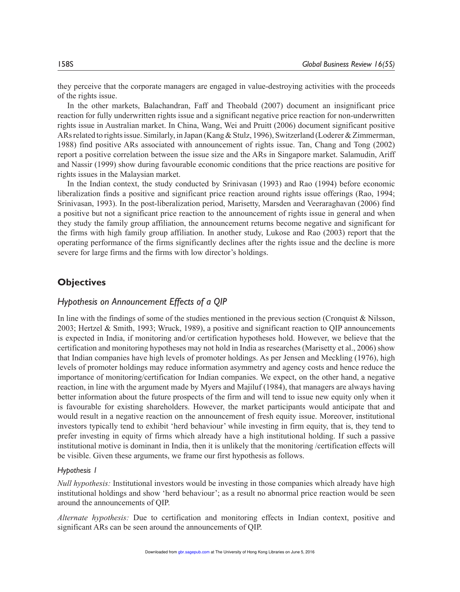they perceive that the corporate managers are engaged in value-destroying activities with the proceeds of the rights issue.

In the other markets, Balachandran, Faff and Theobald (2007) document an insignificant price reaction for fully underwritten rights issue and a significant negative price reaction for non-underwritten rights issue in Australian market. In China, Wang, Wei and Pruitt (2006) document significant positive ARs related to rights issue. Similarly, in Japan (Kang & Stulz, 1996), Switzerland (Loderer & Zimmerman, 1988) find positive ARs associated with announcement of rights issue. Tan, Chang and Tong (2002) report a positive correlation between the issue size and the ARs in Singapore market. Salamudin, Ariff and Nassir (1999) show during favourable economic conditions that the price reactions are positive for rights issues in the Malaysian market.

In the Indian context, the study conducted by Srinivasan (1993) and Rao (1994) before economic liberalization finds a positive and significant price reaction around rights issue offerings (Rao, 1994; Srinivasan, 1993). In the post-liberalization period, Marisetty, Marsden and Veeraraghavan (2006) find a positive but not a significant price reaction to the announcement of rights issue in general and when they study the family group affiliation, the announcement returns become negative and significant for the firms with high family group affiliation. In another study, Lukose and Rao (2003) report that the operating performance of the firms significantly declines after the rights issue and the decline is more severe for large firms and the firms with low director's holdings.

## **Objectives**

#### *Hypothesis on Announcement Effects of a QIP*

In line with the findings of some of the studies mentioned in the previous section (Cronquist & Nilsson, 2003; Hertzel & Smith, 1993; Wruck, 1989), a positive and significant reaction to QIP announcements is expected in India, if monitoring and/or certification hypotheses hold. However, we believe that the certification and monitoring hypotheses may not hold in India as researches (Marisetty et al., 2006) show that Indian companies have high levels of promoter holdings. As per Jensen and Meckling (1976), high levels of promoter holdings may reduce information asymmetry and agency costs and hence reduce the importance of monitoring/certification for Indian companies. We expect, on the other hand, a negative reaction, in line with the argument made by Myers and Majiluf (1984), that managers are always having better information about the future prospects of the firm and will tend to issue new equity only when it is favourable for existing shareholders. However, the market participants would anticipate that and would result in a negative reaction on the announcement of fresh equity issue. Moreover, institutional investors typically tend to exhibit 'herd behaviour' while investing in firm equity, that is, they tend to prefer investing in equity of firms which already have a high institutional holding. If such a passive institutional motive is dominant in India, then it is unlikely that the monitoring /certification effects will be visible. Given these arguments, we frame our first hypothesis as follows.

#### *Hypothesis 1*

*Null hypothesis:* Institutional investors would be investing in those companies which already have high institutional holdings and show 'herd behaviour'; as a result no abnormal price reaction would be seen around the announcements of QIP.

*Alternate hypothesis:* Due to certification and monitoring effects in Indian context, positive and significant ARs can be seen around the announcements of QIP.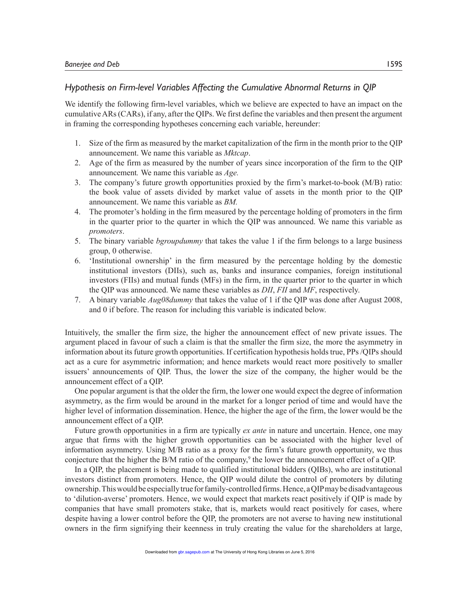## *Hypothesis on Firm-level Variables Affecting the Cumulative Abnormal Returns in QIP*

We identify the following firm-level variables, which we believe are expected to have an impact on the cumulative ARs (CARs), if any, after the QIPs. We first define the variables and then present the argument in framing the corresponding hypotheses concerning each variable, hereunder:

- 1. Size of the firm as measured by the market capitalization of the firm in the month prior to the QIP announcement. We name this variable as *Mktcap*.
- 2. Age of the firm as measured by the number of years since incorporation of the firm to the QIP announcement*.* We name this variable as *Age.*
- 3. The company's future growth opportunities proxied by the firm's market-to-book (M/B) ratio: the book value of assets divided by market value of assets in the month prior to the QIP announcement. We name this variable as *BM.*
- 4. The promoter's holding in the firm measured by the percentage holding of promoters in the firm in the quarter prior to the quarter in which the QIP was announced. We name this variable as *promoters*.
- 5. The binary variable *bgroupdummy* that takes the value 1 if the firm belongs to a large business group, 0 otherwise.
- 6. 'Institutional ownership' in the firm measured by the percentage holding by the domestic institutional investors (DIIs), such as, banks and insurance companies, foreign institutional investors (FIIs) and mutual funds (MFs) in the firm, in the quarter prior to the quarter in which the QIP was announced. We name these variables as *DII*, *FII* and *MF*, respectively.
- 7. A binary variable *Aug08dummy* that takes the value of 1 if the QIP was done after August 2008, and 0 if before. The reason for including this variable is indicated below.

Intuitively, the smaller the firm size, the higher the announcement effect of new private issues. The argument placed in favour of such a claim is that the smaller the firm size, the more the asymmetry in information about its future growth opportunities. If certification hypothesis holds true, PPs /QIPs should act as a cure for asymmetric information; and hence markets would react more positively to smaller issuers' announcements of QIP. Thus, the lower the size of the company, the higher would be the announcement effect of a QIP.

One popular argument is that the older the firm, the lower one would expect the degree of information asymmetry, as the firm would be around in the market for a longer period of time and would have the higher level of information dissemination. Hence, the higher the age of the firm, the lower would be the announcement effect of a QIP.

Future growth opportunities in a firm are typically *ex ante* in nature and uncertain. Hence, one may argue that firms with the higher growth opportunities can be associated with the higher level of information asymmetry. Using M/B ratio as a proxy for the firm's future growth opportunity, we thus conjecture that the higher the B/M ratio of the company,<sup>9</sup> the lower the announcement effect of a QIP.

In a QIP, the placement is being made to qualified institutional bidders (QIBs), who are institutional investors distinct from promoters. Hence, the QIP would dilute the control of promoters by diluting ownership. This would be especially true for family-controlled firms. Hence, a QIP may be disadvantageous to 'dilution-averse' promoters. Hence, we would expect that markets react positively if QIP is made by companies that have small promoters stake, that is, markets would react positively for cases, where despite having a lower control before the QIP, the promoters are not averse to having new institutional owners in the firm signifying their keenness in truly creating the value for the shareholders at large,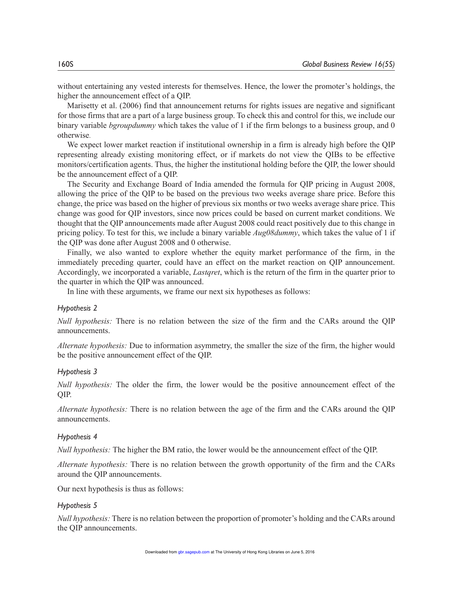without entertaining any vested interests for themselves. Hence, the lower the promoter's holdings, the higher the announcement effect of a QIP.

Marisetty et al. (2006) find that announcement returns for rights issues are negative and significant for those firms that are a part of a large business group. To check this and control for this, we include our binary variable *bgroupdummy* which takes the value of 1 if the firm belongs to a business group, and 0 otherwise.

We expect lower market reaction if institutional ownership in a firm is already high before the QIP representing already existing monitoring effect, or if markets do not view the QIBs to be effective monitors/certification agents. Thus, the higher the institutional holding before the QIP, the lower should be the announcement effect of a QIP.

The Security and Exchange Board of India amended the formula for QIP pricing in August 2008, allowing the price of the QIP to be based on the previous two weeks average share price. Before this change, the price was based on the higher of previous six months or two weeks average share price. This change was good for QIP investors, since now prices could be based on current market conditions. We thought that the QIP announcements made after August 2008 could react positively due to this change in pricing policy. To test for this, we include a binary variable *Aug08dummy*, which takes the value of 1 if the QIP was done after August 2008 and 0 otherwise.

Finally, we also wanted to explore whether the equity market performance of the firm, in the immediately preceding quarter, could have an effect on the market reaction on QIP announcement. Accordingly, we incorporated a variable, *Lastqret*, which is the return of the firm in the quarter prior to the quarter in which the QIP was announced.

In line with these arguments, we frame our next six hypotheses as follows:

#### *Hypothesis 2*

*Null hypothesis:* There is no relation between the size of the firm and the CARs around the QIP announcements.

*Alternate hypothesis:* Due to information asymmetry, the smaller the size of the firm, the higher would be the positive announcement effect of the QIP.

#### *Hypothesis 3*

*Null hypothesis:* The older the firm, the lower would be the positive announcement effect of the QIP.

*Alternate hypothesis:* There is no relation between the age of the firm and the CARs around the QIP announcements.

#### *Hypothesis 4*

*Null hypothesis:* The higher the BM ratio, the lower would be the announcement effect of the QIP.

*Alternate hypothesis:* There is no relation between the growth opportunity of the firm and the CARs around the QIP announcements.

Our next hypothesis is thus as follows:

#### *Hypothesis 5*

*Null hypothesis:* There is no relation between the proportion of promoter's holding and the CARs around the QIP announcements.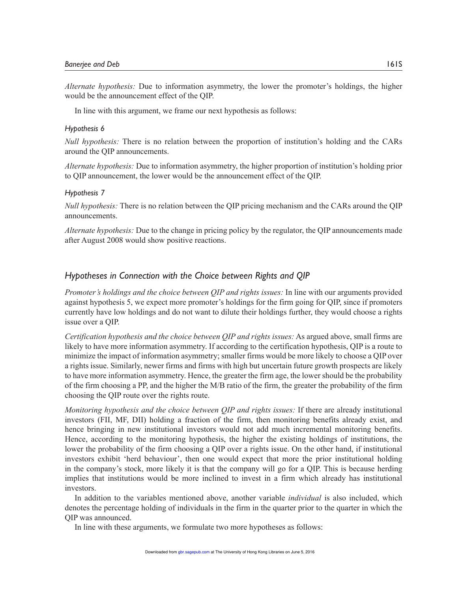*Alternate hypothesis:* Due to information asymmetry, the lower the promoter's holdings, the higher would be the announcement effect of the QIP.

In line with this argument, we frame our next hypothesis as follows:

#### *Hypothesis 6*

*Null hypothesis:* There is no relation between the proportion of institution's holding and the CARs around the QIP announcements.

*Alternate hypothesis:* Due to information asymmetry, the higher proportion of institution's holding prior to QIP announcement, the lower would be the announcement effect of the QIP.

#### *Hypothesis 7*

*Null hypothesis:* There is no relation between the QIP pricing mechanism and the CARs around the QIP announcements.

*Alternate hypothesis:* Due to the change in pricing policy by the regulator, the QIP announcements made after August 2008 would show positive reactions.

## *Hypotheses in Connection with the Choice between Rights and QIP*

*Promoter's holdings and the choice between QIP and rights issues:* In line with our arguments provided against hypothesis 5, we expect more promoter's holdings for the firm going for QIP, since if promoters currently have low holdings and do not want to dilute their holdings further, they would choose a rights issue over a QIP.

*Certification hypothesis and the choice between QIP and rights issues:* As argued above, small firms are likely to have more information asymmetry. If according to the certification hypothesis, QIP is a route to minimize the impact of information asymmetry; smaller firms would be more likely to choose a QIP over a rights issue. Similarly, newer firms and firms with high but uncertain future growth prospects are likely to have more information asymmetry. Hence, the greater the firm age, the lower should be the probability of the firm choosing a PP, and the higher the M/B ratio of the firm, the greater the probability of the firm choosing the QIP route over the rights route.

*Monitoring hypothesis and the choice between QIP and rights issues:* If there are already institutional investors (FII, MF, DII) holding a fraction of the firm, then monitoring benefits already exist, and hence bringing in new institutional investors would not add much incremental monitoring benefits. Hence, according to the monitoring hypothesis, the higher the existing holdings of institutions, the lower the probability of the firm choosing a QIP over a rights issue. On the other hand, if institutional investors exhibit 'herd behaviour', then one would expect that more the prior institutional holding in the company's stock, more likely it is that the company will go for a QIP. This is because herding implies that institutions would be more inclined to invest in a firm which already has institutional investors.

In addition to the variables mentioned above, another variable *individual* is also included, which denotes the percentage holding of individuals in the firm in the quarter prior to the quarter in which the QIP was announced.

In line with these arguments, we formulate two more hypotheses as follows: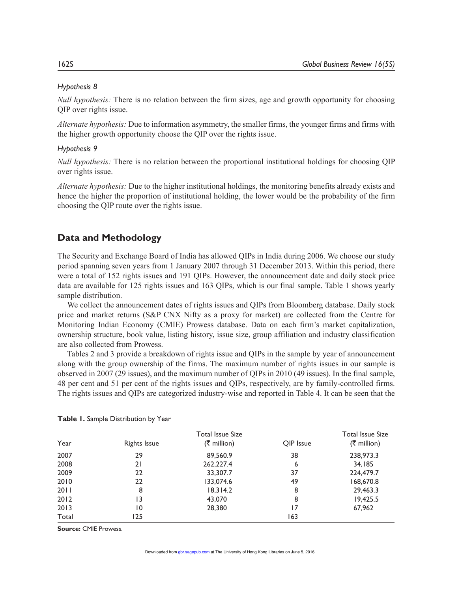## *Hypothesis 8*

*Null hypothesis:* There is no relation between the firm sizes, age and growth opportunity for choosing QIP over rights issue.

*Alternate hypothesis:* Due to information asymmetry, the smaller firms, the younger firms and firms with the higher growth opportunity choose the QIP over the rights issue.

## *Hypothesis 9*

*Null hypothesis:* There is no relation between the proportional institutional holdings for choosing QIP over rights issue.

*Alternate hypothesis:* Due to the higher institutional holdings, the monitoring benefits already exists and hence the higher the proportion of institutional holding, the lower would be the probability of the firm choosing the QIP route over the rights issue.

## **Data and Methodology**

The Security and Exchange Board of India has allowed QIPs in India during 2006. We choose our study period spanning seven years from 1 January 2007 through 31 December 2013. Within this period, there were a total of 152 rights issues and 191 QIPs. However, the announcement date and daily stock price data are available for 125 rights issues and 163 QIPs, which is our final sample. Table 1 shows yearly sample distribution.

We collect the announcement dates of rights issues and QIPs from Bloomberg database. Daily stock price and market returns (S&P CNX Nifty as a proxy for market) are collected from the Centre for Monitoring Indian Economy (CMIE) Prowess database. Data on each firm's market capitalization, ownership structure, book value, listing history, issue size, group affiliation and industry classification are also collected from Prowess.

Tables 2 and 3 provide a breakdown of rights issue and QIPs in the sample by year of announcement along with the group ownership of the firms. The maximum number of rights issues in our sample is observed in 2007 (29 issues), and the maximum number of QIPs in 2010 (49 issues). In the final sample, 48 per cent and 51 per cent of the rights issues and QIPs, respectively, are by family-controlled firms. The rights issues and QIPs are categorized industry-wise and reported in Table 4. It can be seen that the

| Year  | Rights Issue | Total Issue Size<br>(₹ million) | OIP Issue | <b>Total Issue Size</b><br>(₹ million) |
|-------|--------------|---------------------------------|-----------|----------------------------------------|
| 2007  | 29           | 89,560.9                        | 38        | 238,973.3                              |
| 2008  | 21           | 262,227.4                       | 6         | 34,185                                 |
| 2009  | 22           | 33,307.7                        | 37        | 224,479.7                              |
| 2010  | 22           | 133,074.6                       | 49        | 168,670.8                              |
| 2011  | 8            | 18,314.2                        | 8         | 29,463.3                               |
| 2012  | 13           | 43,070                          | 8         | 19,425.5                               |
| 2013  | 10           | 28,380                          | 17        | 67,962                                 |
| Total | 125          |                                 | 163       |                                        |

|  |  |  | Table 1. Sample Distribution by Year |  |  |
|--|--|--|--------------------------------------|--|--|
|--|--|--|--------------------------------------|--|--|

**Source:** CMIE Prowess.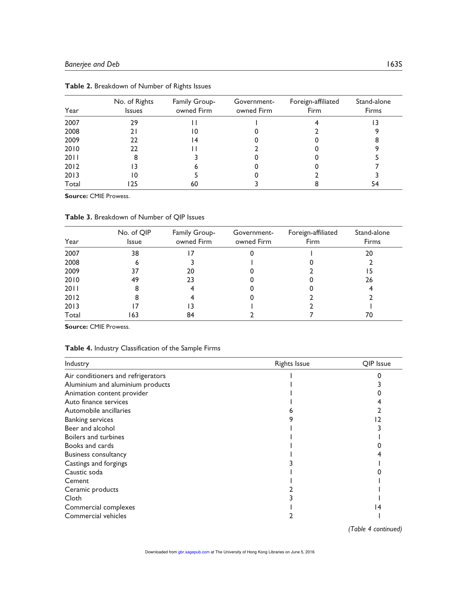| Year  | No. of Rights<br><b>Issues</b> | Family Group-<br>owned Firm | Government-<br>owned Firm | Foreign-affiliated<br>Firm | Stand-alone<br><b>Firms</b> |
|-------|--------------------------------|-----------------------------|---------------------------|----------------------------|-----------------------------|
| 2007  | 29                             |                             |                           |                            |                             |
| 2008  | 21                             | 10                          |                           |                            |                             |
| 2009  | 22                             | 14                          |                           |                            |                             |
| 2010  | 22                             |                             |                           |                            |                             |
| 2011  |                                |                             |                           |                            |                             |
| 2012  |                                |                             |                           |                            |                             |
| 2013  | 10                             |                             |                           |                            |                             |
| Total |                                | 60                          |                           |                            | 54                          |

**Table 2.** Breakdown of Number of Rights Issues

**Source:** CMIE Prowess.

**Table 3.** Breakdown of Number of QIP Issues

| Year  | No. of QIP<br><b>Issue</b> | Family Group-<br>owned Firm | Government-<br>owned Firm | Foreign-affiliated<br><b>Firm</b> | Stand-alone<br><b>Firms</b> |
|-------|----------------------------|-----------------------------|---------------------------|-----------------------------------|-----------------------------|
| 2007  | 38                         |                             |                           |                                   | 20                          |
| 2008  | 6                          |                             |                           |                                   |                             |
| 2009  | 37                         | 20                          |                           |                                   |                             |
| 2010  | 49                         | 23                          |                           |                                   | 26                          |
| 2011  | 8                          |                             |                           |                                   |                             |
| 2012  | 8                          |                             |                           |                                   |                             |
| 2013  |                            | 3                           |                           |                                   |                             |
| Total | 63                         | 84                          |                           |                                   | 70                          |

**Source:** CMIE Prowess.

#### **Table 4.** Industry Classification of the Sample Firms

| Industry                           | <b>Rights Issue</b> | OIP Issue |
|------------------------------------|---------------------|-----------|
| Air conditioners and refrigerators |                     |           |
| Aluminium and aluminium products   |                     |           |
| Animation content provider         |                     |           |
| Auto finance services              |                     |           |
| Automobile ancillaries             |                     |           |
| <b>Banking services</b>            |                     |           |
| Beer and alcohol                   |                     |           |
| Boilers and turbines               |                     |           |
| Books and cards                    |                     |           |
| <b>Business consultancy</b>        |                     |           |
| Castings and forgings              |                     |           |
| Caustic soda                       |                     |           |
| Cement                             |                     |           |
| Ceramic products                   |                     |           |
| Cloth                              |                     |           |
| Commercial complexes               |                     |           |
| Commercial vehicles                |                     |           |

*(Table 4 continued)*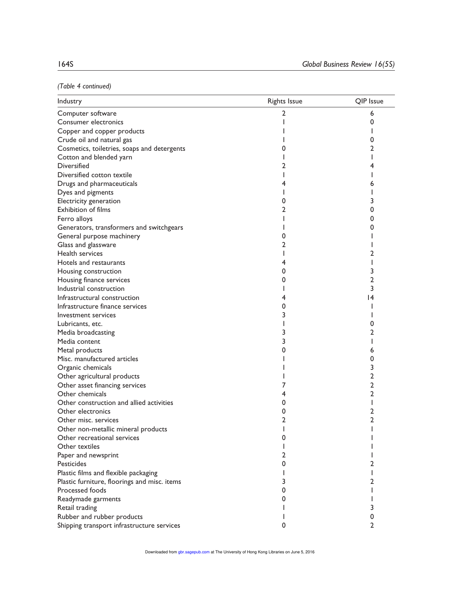*(Table 4 continued)*

| Industry                                     | <b>Rights Issue</b> | QIP Issue |
|----------------------------------------------|---------------------|-----------|
| Computer software                            | 2                   | 6         |
| Consumer electronics                         |                     | 0         |
| Copper and copper products                   |                     |           |
| Crude oil and natural gas                    |                     | 0         |
| Cosmetics, toiletries, soaps and detergents  |                     | 2         |
| Cotton and blended yarn                      |                     |           |
| <b>Diversified</b>                           |                     | 4         |
| Diversified cotton textile                   |                     |           |
| Drugs and pharmaceuticals                    |                     | 6         |
| Dyes and pigments                            |                     |           |
| Electricity generation                       | 0                   | 3         |
| <b>Exhibition of films</b>                   | 2                   | 0         |
| Ferro alloys                                 |                     | 0         |
| Generators, transformers and switchgears     |                     | 0         |
| General purpose machinery                    | 0                   |           |
| Glass and glassware                          | 2                   |           |
| Health services                              |                     | 2         |
| Hotels and restaurants                       | 4                   |           |
| Housing construction                         | 0                   | 3         |
| Housing finance services                     | 0                   | 2         |
| Industrial construction                      |                     | 3         |
| Infrastructural construction                 | 4                   | 14        |
| Infrastructure finance services              |                     |           |
| Investment services                          | 3                   |           |
| Lubricants, etc.                             |                     | 0         |
| Media broadcasting                           |                     | 2         |
| Media content                                |                     |           |
| Metal products                               |                     | 6         |
| Misc. manufactured articles                  |                     | 0         |
| Organic chemicals                            |                     | 3         |
| Other agricultural products                  |                     | 2         |
| Other asset financing services               |                     | 2         |
| Other chemicals                              | 4                   | 2         |
| Other construction and allied activities     | 0                   | I         |
| Other electronics                            | 0                   | 2         |
| Other misc. services                         | 2                   | 2         |
| Other non-metallic mineral products          |                     |           |
| Other recreational services                  | O                   |           |
| Other textiles                               |                     |           |
| Paper and newsprint                          | 2                   |           |
| Pesticides                                   | 0                   | 2         |
| Plastic films and flexible packaging         | I                   | I         |
| Plastic furniture, floorings and misc. items | 3                   | 2         |
| Processed foods                              | 0                   | L         |
| Readymade garments                           | 0                   |           |
| Retail trading                               |                     | 3         |
| Rubber and rubber products                   |                     | 0         |
| Shipping transport infrastructure services   | 0                   | 2         |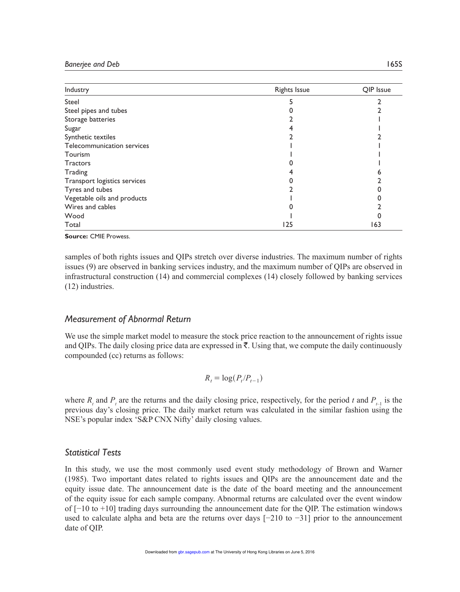| Industry                     | <b>Rights Issue</b> | OIP Issue |
|------------------------------|---------------------|-----------|
| Steel                        |                     |           |
| Steel pipes and tubes        |                     |           |
| Storage batteries            |                     |           |
| Sugar                        |                     |           |
| Synthetic textiles           |                     |           |
| Telecommunication services   |                     |           |
| Tourism                      |                     |           |
| <b>Tractors</b>              |                     |           |
| Trading                      |                     |           |
| Transport logistics services |                     |           |
| Tyres and tubes              |                     |           |
| Vegetable oils and products  |                     |           |
| Wires and cables             |                     |           |
| Wood                         |                     |           |
| Total                        | 125                 | 163       |

**Source:** CMIE Prowess.

samples of both rights issues and QIPs stretch over diverse industries. The maximum number of rights issues (9) are observed in banking services industry, and the maximum number of QIPs are observed in infrastructural construction (14) and commercial complexes (14) closely followed by banking services (12) industries.

#### *Measurement of Abnormal Return*

We use the simple market model to measure the stock price reaction to the announcement of rights issue and QIPs. The daily closing price data are expressed in  $\bar{\tau}$ . Using that, we compute the daily continuously compounded (cc) returns as follows:

$$
R_t = \log(P_t/P_{t-1})
$$

where  $R_t$  and  $P_t$  are the returns and the daily closing price, respectively, for the period *t* and  $P_{t-1}$  is the previous day's closing price. The daily market return was calculated in the similar fashion using the NSE's popular index 'S&P CNX Nifty' daily closing values.

## *Statistical Tests*

In this study, we use the most commonly used event study methodology of Brown and Warner (1985). Two important dates related to rights issues and QIPs are the announcement date and the equity issue date. The announcement date is the date of the board meeting and the announcement of the equity issue for each sample company. Abnormal returns are calculated over the event window of [−10 to +10] trading days surrounding the announcement date for the QIP. The estimation windows used to calculate alpha and beta are the returns over days [−210 to −31] prior to the announcement date of QIP.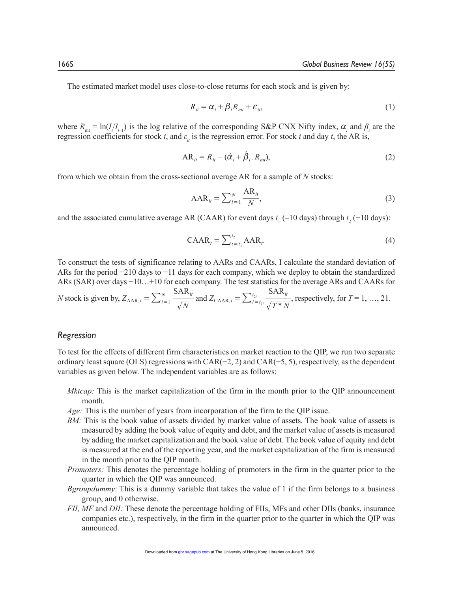The estimated market model uses close-to-close returns for each stock and is given by:

$$
R_{it} = \alpha_i + \beta_i R_{mt} + \varepsilon_{it},\tag{1}
$$

where  $R_{\text{mt}} = \ln(I/I_{I-1})$  is the log relative of the corresponding S&P CNX Nifty index,  $\alpha_i$  and  $\beta_i$  are the regression coefficients for stock *i*, and  $\varepsilon$ <sub>*it*</sub> is the regression error. For stock *i* and day *t*, the AR is,

$$
AR_{ii} = R_{ii} - (\hat{\alpha}_i + \hat{\beta}_i, R_{mi}),
$$
\n(2)

from which we obtain from the cross-sectional average AR for a sample of *N* stocks:

$$
AAR_{it} = \sum_{i=1}^{N} \frac{AR_{it}}{N},
$$
\n(3)

and the associated cumulative average AR (CAAR) for event days  $t_1$  (-10 days) through  $t_2$  (+10 days):

$$
CABA_t = \sum_{t=t_1}^{t_2} AAR_t.
$$
 (4)

To construct the tests of significance relating to AARs and CAARs, I calculate the standard deviation of ARs for the period −210 days to −11 days for each company, which we deploy to obtain the standardized ARs (SAR) over days −10…+10 for each company. The test statistics for the average ARs and CAARs for

*N* stock is given by, 
$$
Z_{\text{AAR},t} = \sum_{i=1}^{N} \frac{\text{SAR}_{it}}{\sqrt{N}}
$$
 and  $Z_{\text{CAR},t} = \sum_{i=t_{1i}}^{t_{2i}} \frac{\text{SAR}_{it}}{\sqrt{T*N}}$ , respectively, for  $T = 1, ..., 21$ .

#### *Regression*

To test for the effects of different firm characteristics on market reaction to the QIP, we run two separate ordinary least square (OLS) regressions with CAR(−2, 2) and CAR(−5, 5), respectively, as the dependent variables as given below. The independent variables are as follows:

- *Mktcap:* This is the market capitalization of the firm in the month prior to the QIP announcement month.
- *Age:* This is the number of years from incorporation of the firm to the QIP issue.
- *BM:* This is the book value of assets divided by market value of assets*.* The book value of assets is measured by adding the book value of equity and debt, and the market value of assets is measured by adding the market capitalization and the book value of debt. The book value of equity and debt is measured at the end of the reporting year, and the market capitalization of the firm is measured in the month prior to the QIP month.
- *Promoters:* This denotes the percentage holding of promoters in the firm in the quarter prior to the quarter in which the QIP was announced.
- *Bgroupdummy*: This is a dummy variable that takes the value of 1 if the firm belongs to a business group, and 0 otherwise.
- *FII, MF* and *DII:* These denote the percentage holding of FIIs, MFs and other DIIs (banks, insurance companies etc.), respectively, in the firm in the quarter prior to the quarter in which the QIP was announced.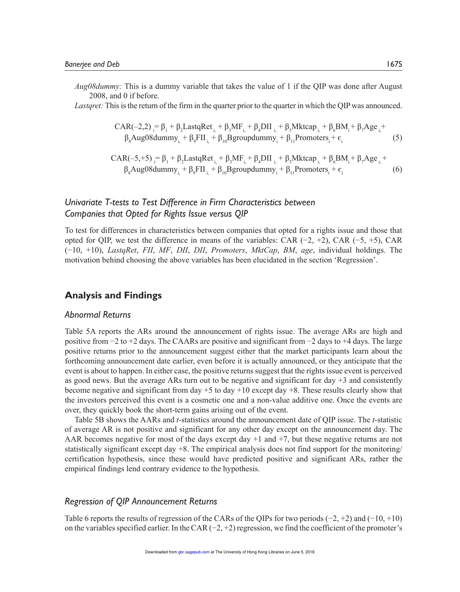*Aug08dummy:* This is a dummy variable that takes the value of 1 if the QIP was done after August 2008, and 0 if before.

*Lastgret:* This is the return of the firm in the quarter prior to the quarter in which the QIP was announced.

$$
CAR(-2,2)_{i} = \beta_{1} + \beta_{2} LastqRet_{i_{i}} + \beta_{3}MF_{i_{i}} + \beta_{4}DII_{i_{i}} + \beta_{5}Mktcap_{i_{i}} + \beta_{6}BM_{i} + \beta_{7}Age_{i_{i}} + \beta_{8} Aug08 dummy_{i_{i}} + \beta_{9} FIR_{i_{i}} + \beta_{10} B groupdummy_{i_{i}} + \beta_{11} Promoters_{i} + \varepsilon_{i}
$$
\n(5)

$$
CAR(-5, +5) = \beta_1 + \beta_2 LastqRet_{i} + \beta_3 MF_{i} + \beta_4 DII_{i} + \beta_5 Mktcap_{i} + \beta_6 BM_i + \beta_7 Age_{i} + \beta_8 Aug08 dummy_{i} + \beta_9 FH_{i} + \beta_{10} B groupdummy_{i} + \beta_{11} Promoters_{i} + \epsilon_{i}
$$
(6)

## *Univariate T-tests to Test Difference in Firm Characteristics between Companies that Opted for Rights Issue versus QIP*

To test for differences in characteristics between companies that opted for a rights issue and those that opted for QIP, we test the difference in means of the variables: CAR (−2, +2), CAR (−5, +5), CAR (−10, +10), *LastqRet*, *FII*, *MF*, *DII*, *DII*, *Promoters*, *MktCap*, *BM*, *age*, individual holdings. The motivation behind choosing the above variables has been elucidated in the section 'Regression'.

## **Analysis and Findings**

#### *Abnormal Returns*

Table 5A reports the ARs around the announcement of rights issue. The average ARs are high and positive from −2 to +2 days. The CAARs are positive and significant from −2 days to +4 days. The large positive returns prior to the announcement suggest either that the market participants learn about the forthcoming announcement date earlier, even before it is actually announced, or they anticipate that the event is about to happen. In either case, the positive returns suggest that the rights issue event is perceived as good news. But the average ARs turn out to be negative and significant for day  $+3$  and consistently become negative and significant from day +5 to day +10 except day +8. These results clearly show that the investors perceived this event is a cosmetic one and a non-value additive one. Once the events are over, they quickly book the short-term gains arising out of the event.

Table 5B shows the AARs and *t*-statistics around the announcement date of QIP issue. The *t*-statistic of average AR is not positive and significant for any other day except on the announcement day. The AAR becomes negative for most of the days except day  $+1$  and  $+7$ , but these negative returns are not statistically significant except day +8. The empirical analysis does not find support for the monitoring/ certification hypothesis, since these would have predicted positive and significant ARs, rather the empirical findings lend contrary evidence to the hypothesis.

#### *Regression of QIP Announcement Returns*

Table 6 reports the results of regression of the CARs of the QIPs for two periods  $(-2, +2)$  and  $(-10, +10)$ on the variables specified earlier. In the CAR (−2, +2) regression, we find the coefficient of the promoter's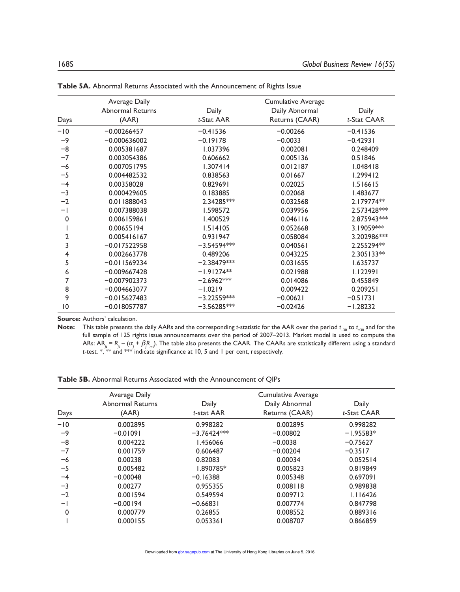|                | Average Daily           |               | Cumulative Average |              |
|----------------|-------------------------|---------------|--------------------|--------------|
|                | <b>Abnormal Returns</b> | Daily         | Daily Abnormal     | Daily        |
| Days           | (AAR)                   | t-Stat AAR    | Returns (CAAR)     | t-Stat CAAR  |
| $-10$          | $-0.00266457$           | $-0.41536$    | $-0.00266$         | $-0.41536$   |
| $-9$           | $-0.000636002$          | $-0.19178$    | $-0.0033$          | $-0.42931$   |
| $-8$           | 0.005381687             | 1.037396      | 0.002081           | 0.248409     |
| $-7$           | 0.003054386             | 0.606662      | 0.005136           | 0.51846      |
| $-6$           | 0.007051795             | 1.307414      | 0.012187           | 1.048418     |
| $-5$           | 0.004482532             | 0.838563      | 0.01667            | 1.299412     |
| $-4$           | 0.00358028              | 0.829691      | 0.02025            | 1.516615     |
| $-3$           | 0.000429605             | 0.183885      | 0.02068            | 1.483677     |
| $-2$           | 0.011888043             | 2.34285***    | 0.032568           | 2.179774**   |
| $-1$           | 0.007388038             | 1.598572      | 0.039956           | 2.573428***  |
| 0              | 0.006159861             | 1.400529      | $0.046$   16       | 2.875943***  |
|                | 0.00655194              | 1.514105      | 0.052668           | 3.19059***   |
| $\overline{2}$ | 0.005416167             | 0.931947      | 0.058084           | 3.202986***  |
| 3              | $-0.017522958$          | $-3.54594***$ | 0.040561           | 2.255294**   |
| 4              | 0.002663778             | 0.489206      | 0.043225           | $2.305133**$ |
| 5              | $-0.011569234$          | $-2.38479***$ | 0.031655           | 1.635737     |
| 6              | $-0.009667428$          | $-1.91274**$  | 0.021988           | 1.122991     |
| 7              | $-0.007902373$          | $-2.6962***$  | 0.014086           | 0.455849     |
| 8              | $-0.004663077$          | $-1.0219$     | 0.009422           | 0.209251     |
| 9              | $-0.015627483$          | $-3.22559***$ | $-0.00621$         | $-0.51731$   |
| $\overline{0}$ | $-0.018057787$          | $-3.56285***$ | $-0.02426$         | $-1.28232$   |

**Table 5A.** Abnormal Returns Associated with the Announcement of Rights Issue

**Source:** Authors' calculation.

**Note:** This table presents the daily AARs and the corresponding *t*-statistic for the AAR over the period *t* –30 to *t* +30 and for the full sample of 125 rights issue announcements over the period of 2007–2013. Market model is used to compute the ARs: AR $_{\mu}$  =  $R_{\mu}$  – ( $\alpha_j$  +  $\beta R_{m}$ ). The table also presents the CAAR. The CAARs are statistically different using a standard *t*-test. \*, \*\* and \*\*\* indicate significance at 10, 5 and 1 per cent, respectively.

**Table 5B.** Abnormal Returns Associated with the Announcement of QIPs

|       | Average Daily           |               | <b>Cumulative Average</b> |             |
|-------|-------------------------|---------------|---------------------------|-------------|
|       | <b>Abnormal Returns</b> | Daily         | Daily Abnormal            | Daily       |
| Days  | (AAR)                   | t-stat AAR    | Returns (CAAR)            | t-Stat CAAR |
| $-10$ | 0.002895                | 0.998282      | 0.002895                  | 0.998282    |
| $-9$  | $-0.01091$              | $-3.76424***$ | $-0.00802$                | $-1.95583*$ |
| $-8$  | 0.004222                | 1.456066      | $-0.0038$                 | $-0.75627$  |
| $-7$  | 0.001759                | 0.606487      | $-0.00204$                | $-0.3517$   |
| -6    | 0.00238                 | 0.82083       | 0.00034                   | 0.052514    |
| $-5$  | 0.005482                | 1.890785*     | 0.005823                  | 0.819849    |
| $-4$  | $-0.00048$              | $-0.16388$    | 0.005348                  | 0.697091    |
| $-3$  | 0.00277                 | 0.955355      | 0.008118                  | 0.989838    |
| $-2$  | 0.001594                | 0.549594      | 0.009712                  | 1.116426    |
| $-1$  | $-0.00194$              | $-0.66831$    | 0.007774                  | 0.847798    |
| 0     | 0.000779                | 0.26855       | 0.008552                  | 0.889316    |
|       | 0.000155                | 0.053361      | 0.008707                  | 0.866859    |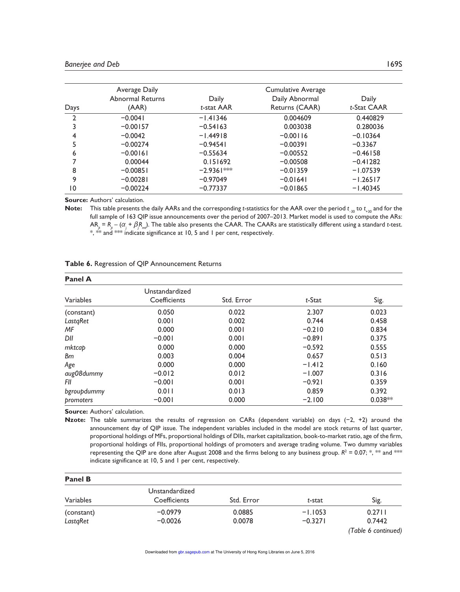|                | Average Daily    |              | <b>Cumulative Average</b> |             |
|----------------|------------------|--------------|---------------------------|-------------|
|                | Abnormal Returns | Daily        | Daily Abnormal            | Daily       |
| Days           | (AAR)            | t-stat AAR   | Returns (CAAR)            | t-Stat CAAR |
| $\mathfrak{p}$ | $-0.0041$        | $-1.41346$   | 0.004609                  | 0.440829    |
|                | $-0.00157$       | $-0.54163$   | 0.003038                  | 0.280036    |
| 4              | $-0.0042$        | $-1.44918$   | $-0.00116$                | $-0.10364$  |
|                | $-0.00274$       | $-0.94541$   | $-0.00391$                | $-0.3367$   |
| 6              | $-0.00161$       | $-0.55634$   | $-0.00552$                | $-0.46158$  |
|                | 0.00044          | 0.151692     | $-0.00508$                | $-0.41282$  |
| 8              | $-0.00851$       | $-2.9361***$ | $-0.01359$                | $-1.07539$  |
| 9              | $-0.00281$       | $-0.97049$   | $-0.01641$                | $-1.26517$  |
| 10             | $-0.00224$       | $-0.77337$   | $-0.01865$                | $-1.40345$  |

**Source:** Authors' calculation.

**Note:** This table presents the daily AARs and the corresponding *t*-statistics for the AAR over the period *t* –30 to *t* +30 and for the full sample of 163 QIP issue announcements over the period of 2007–2013. Market model is used to compute the ARs:  $AR_{\mu}$  =  $R_{\mu}$  –  $(\alpha_j+\beta_jR_{m\!u})$ . The table also presents the CAAR. The CAARs are statistically different using a standard *t*-test.  $*$ ,  $*$  and  $*$  indicate significance at 10, 5 and 1 per cent, respectively.

#### **Table 6.** Regression of QIP Announcement Returns

| <b>Panel A</b> |                |            |          |           |
|----------------|----------------|------------|----------|-----------|
|                | Unstandardized |            |          |           |
| Variables      | Coefficients   | Std. Error | t-Stat   | Sig.      |
| (constant)     | 0.050          | 0.022      | 2.307    | 0.023     |
| LastqRet       | 0.001          | 0.002      | 0.744    | 0.458     |
| МF             | 0.000          | 0.001      | $-0.210$ | 0.834     |
| DII            | $-0.001$       | 0.001      | $-0.891$ | 0.375     |
| mktcap         | 0.000          | 0.000      | $-0.592$ | 0.555     |
| <b>Bm</b>      | 0.003          | 0.004      | 0.657    | 0.513     |
| Age            | 0.000          | 0.000      | $-1.412$ | 0.160     |
| aug08dummy     | $-0.012$       | 0.012      | $-1.007$ | 0.316     |
| FII            | $-0.001$       | 0.001      | $-0.921$ | 0.359     |
| bgroupdummy    | 0.011          | 0.013      | 0.859    | 0.392     |
| promoters      | $-0.001$       | 0.000      | $-2.100$ | $0.038**$ |

**Source:** Authors' calculation.

**Nzote:** The table summarizes the results of regression on CARs (dependent variable) on days (−2, +2) around the announcement day of QIP issue. The independent variables included in the model are stock returns of last quarter, proportional holdings of MFs, proportional holdings of DIIs, market capitalization, book-to-market ratio, age of the firm, proportional holdings of FIIs, proportional holdings of promoters and average trading volume. Two dummy variables representing the QIP are done after August 2008 and the firms belong to any business group.  $R^2 = 0.07;$   $\ast$ ,  $\ast\ast$  and  $\ast\ast\ast$ indicate significance at 10, 5 and 1 per cent, respectively.

| <b>Panel B</b> |                |            |           |                     |
|----------------|----------------|------------|-----------|---------------------|
|                | Unstandardized |            |           |                     |
| Variables      | Coefficients   | Std. Error | t-stat    | Sig.                |
| (constant)     | $-0.0979$      | 0.0885     | $-1.1053$ | 0.2711              |
| LastaRet       | $-0.0026$      | 0.0078     | $-0.3271$ | 0.7442              |
|                |                |            |           | (Table 6 continued) |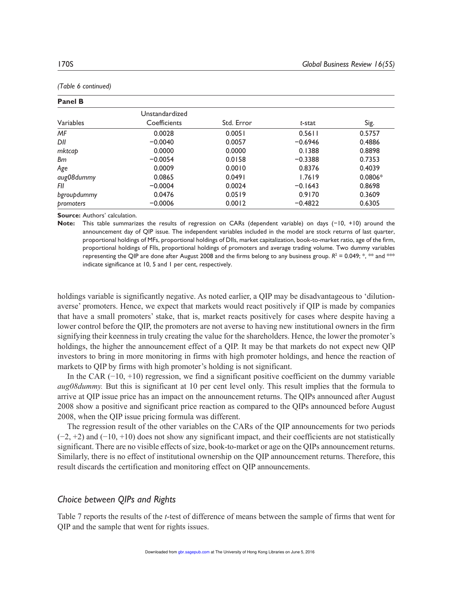| <b>Panel B</b> |                                                                |        |           |           |  |  |
|----------------|----------------------------------------------------------------|--------|-----------|-----------|--|--|
| Variables      | Unstandardized<br>Sig.<br>Std. Error<br>Coefficients<br>t-stat |        |           |           |  |  |
| ΜF             | 0.0028                                                         | 0.0051 | 0.5611    | 0.5757    |  |  |
| DII            | $-0.0040$                                                      | 0.0057 | $-0.6946$ | 0.4886    |  |  |
| mktcap         | 0.0000                                                         | 0.0000 | 0.1388    | 0.8898    |  |  |
| Вm             | $-0.0054$                                                      | 0.0158 | $-0.3388$ | 0.7353    |  |  |
| Age            | 0.0009                                                         | 0.0010 | 0.8376    | 0.4039    |  |  |
| aug08dummy     | 0.0865                                                         | 0.0491 | 1.7619    | $0.0806*$ |  |  |
| FII            | $-0.0004$                                                      | 0.0024 | $-0.1643$ | 0.8698    |  |  |
| bgroupdummy    | 0.0476                                                         | 0.0519 | 0.9170    | 0.3609    |  |  |
| promoters      | $-0.0006$                                                      | 0.0012 | $-0.4822$ | 0.6305    |  |  |

*(Table 6 continued)*

**Source:** Authors' calculation.

**Note:** This table summarizes the results of regression on CARs (dependent variable) on days (−10, +10) around the announcement day of QIP issue. The independent variables included in the model are stock returns of last quarter, proportional holdings of MFs, proportional holdings of DIIs, market capitalization, book-to-market ratio, age of the firm, proportional holdings of FIIs, proportional holdings of promoters and average trading volume. Two dummy variables representing the QIP are done after August 2008 and the firms belong to any business group.  $R^2$  = 0.049; \*, \*\* and \*\* indicate significance at 10, 5 and 1 per cent, respectively.

holdings variable is significantly negative. As noted earlier, a QIP may be disadvantageous to 'dilutionaverse' promoters. Hence, we expect that markets would react positively if QIP is made by companies that have a small promoters' stake, that is, market reacts positively for cases where despite having a lower control before the QIP, the promoters are not averse to having new institutional owners in the firm signifying their keenness in truly creating the value for the shareholders. Hence, the lower the promoter's holdings, the higher the announcement effect of a QIP. It may be that markets do not expect new QIP investors to bring in more monitoring in firms with high promoter holdings, and hence the reaction of markets to QIP by firms with high promoter's holding is not significant.

In the CAR (−10, +10) regression, we find a significant positive coefficient on the dummy variable *aug08dummy.* But this is significant at 10 per cent level only. This result implies that the formula to arrive at QIP issue price has an impact on the announcement returns. The QIPs announced after August 2008 show a positive and significant price reaction as compared to the QIPs announced before August 2008, when the QIP issue pricing formula was different.

The regression result of the other variables on the CARs of the QIP announcements for two periods  $(-2, +2)$  and  $(-10, +10)$  does not show any significant impact, and their coefficients are not statistically significant. There are no visible effects of size, book-to-market or age on the QIPs announcement returns. Similarly, there is no effect of institutional ownership on the QIP announcement returns. Therefore, this result discards the certification and monitoring effect on QIP announcements.

## *Choice between QIPs and Rights*

Table 7 reports the results of the *t*-test of difference of means between the sample of firms that went for QIP and the sample that went for rights issues.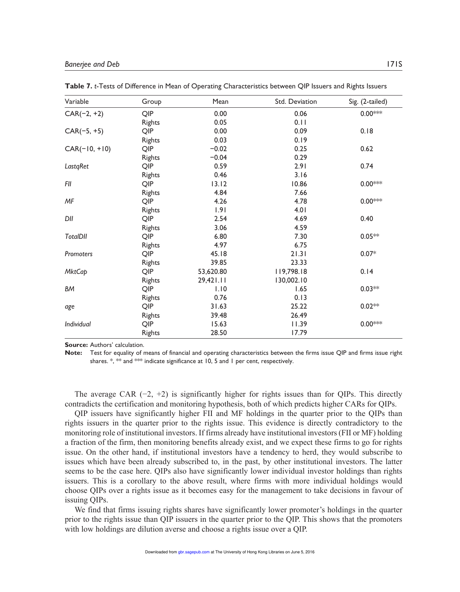| Variable        | Group         | Mean      | Std. Deviation | Sig. (2-tailed) |
|-----------------|---------------|-----------|----------------|-----------------|
| $CAR(-2, +2)$   | QIP           | 0.00      | 0.06           | $0.00***$       |
|                 | Rights        | 0.05      | 0.11           |                 |
| $CAR(-5, +5)$   | QIP           | 0.00      | 0.09           | 0.18            |
|                 | Rights        | 0.03      | 0.19           |                 |
| $CAR(-10, +10)$ | QIP           | $-0.02$   | 0.25           | 0.62            |
|                 | Rights        | $-0.04$   | 0.29           |                 |
| LastqRet        | QIP           | 0.59      | 2.91           | 0.74            |
|                 | Rights        | 0.46      | 3.16           |                 |
| FII             | QIP           | 13.12     | 10.86          | $0.00***$       |
|                 | Rights        | 4.84      | 7.66           |                 |
| MF              | QIP           | 4.26      | 4.78           | $0.00***$       |
|                 | <b>Rights</b> | 1.91      | 4.01           |                 |
| DII             | QIP           | 2.54      | 4.69           | 0.40            |
|                 | <b>Rights</b> | 3.06      | 4.59           |                 |
| <b>TotalDII</b> | QIP           | 6.80      | 7.30           | $0.05**$        |
|                 | <b>Rights</b> | 4.97      | 6.75           |                 |
| Promoters       | QIP           | 45.18     | 21.31          | $0.07*$         |
|                 | <b>Rights</b> | 39.85     | 23.33          |                 |
| <b>MktCap</b>   | QIP           | 53,620.80 | 119,798.18     | 0.14            |
|                 | <b>Rights</b> | 29,421.11 | 130,002.10     |                 |
| ВM              | QIP           | 1.10      | 1.65           | $0.03**$        |
|                 | <b>Rights</b> | 0.76      | 0.13           |                 |
| age             | QIP           | 31.63     | 25.22          | $0.02**$        |
|                 | Rights        | 39.48     | 26.49          |                 |
| Individual      | QIP           | 15.63     | 11.39          | $0.00***$       |
|                 | Rights        | 28.50     | 17.79          |                 |

**Table 7.** *t*-Tests of Difference in Mean of Operating Characteristics between QIP Issuers and Rights Issuers

**Source:** Authors' calculation.

**Note:** Test for equality of means of financial and operating characteristics between the firms issue QIP and firms issue right shares. \*, \*\* and \*\*\* indicate significance at 10, 5 and 1 per cent, respectively.

The average CAR  $(-2, +2)$  is significantly higher for rights issues than for QIPs. This directly contradicts the certification and monitoring hypothesis, both of which predicts higher CARs for QIPs.

QIP issuers have significantly higher FII and MF holdings in the quarter prior to the QIPs than rights issuers in the quarter prior to the rights issue. This evidence is directly contradictory to the monitoring role of institutional investors. If firms already have institutional investors (FII or MF) holding a fraction of the firm, then monitoring benefits already exist, and we expect these firms to go for rights issue. On the other hand, if institutional investors have a tendency to herd, they would subscribe to issues which have been already subscribed to, in the past, by other institutional investors. The latter seems to be the case here. QIPs also have significantly lower individual investor holdings than rights issuers. This is a corollary to the above result, where firms with more individual holdings would choose QIPs over a rights issue as it becomes easy for the management to take decisions in favour of issuing QIPs.

We find that firms issuing rights shares have significantly lower promoter's holdings in the quarter prior to the rights issue than QIP issuers in the quarter prior to the QIP. This shows that the promoters with low holdings are dilution averse and choose a rights issue over a QIP.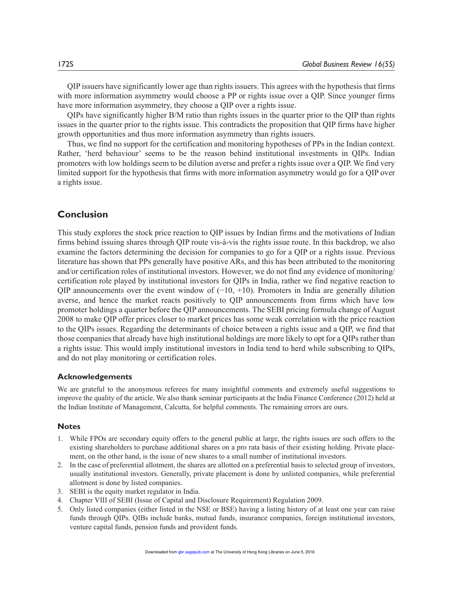QIP issuers have significantly lower age than rights issuers. This agrees with the hypothesis that firms with more information asymmetry would choose a PP or rights issue over a QIP. Since younger firms have more information asymmetry, they choose a QIP over a rights issue.

QIPs have significantly higher B/M ratio than rights issues in the quarter prior to the QIP than rights issues in the quarter prior to the rights issue. This contradicts the proposition that QIP firms have higher growth opportunities and thus more information asymmetry than rights issuers.

Thus, we find no support for the certification and monitoring hypotheses of PPs in the Indian context. Rather, 'herd behaviour' seems to be the reason behind institutional investments in QIPs. Indian promoters with low holdings seem to be dilution averse and prefer a rights issue over a QIP. We find very limited support for the hypothesis that firms with more information asymmetry would go for a QIP over a rights issue.

### **Conclusion**

This study explores the stock price reaction to QIP issues by Indian firms and the motivations of Indian firms behind issuing shares through QIP route vis-à-vis the rights issue route. In this backdrop, we also examine the factors determining the decision for companies to go for a QIP or a rights issue. Previous literature has shown that PPs generally have positive ARs, and this has been attributed to the monitoring and/or certification roles of institutional investors. However, we do not find any evidence of monitoring/ certification role played by institutional investors for QIPs in India, rather we find negative reaction to QIP announcements over the event window of  $(-10, +10)$ . Promoters in India are generally dilution averse, and hence the market reacts positively to QIP announcements from firms which have low promoter holdings a quarter before the QIP announcements. The SEBI pricing formula change of August 2008 to make QIP offer prices closer to market prices has some weak correlation with the price reaction to the QIPs issues. Regarding the determinants of choice between a rights issue and a QIP, we find that those companies that already have high institutional holdings are more likely to opt for a QIPs rather than a rights issue. This would imply institutional investors in India tend to herd while subscribing to QIPs, and do not play monitoring or certification roles.

#### **Acknowledgements**

We are grateful to the anonymous referees for many insightful comments and extremely useful suggestions to improve the quality of the article. We also thank seminar participants at the India Finance Conference (2012) held at the Indian Institute of Management, Calcutta, for helpful comments. The remaining errors are ours.

#### **Notes**

- 1. While FPOs are secondary equity offers to the general public at large, the rights issues are such offers to the existing shareholders to purchase additional shares on a pro rata basis of their existing holding. Private placement, on the other hand, is the issue of new shares to a small number of institutional investors.
- 2. In the case of preferential allotment, the shares are allotted on a preferential basis to selected group of investors, usually institutional investors. Generally, private placement is done by unlisted companies, while preferential allotment is done by listed companies.
- 3. SEBI is the equity market regulator in India.
- 4. Chapter VIII of SEBI (Issue of Capital and Disclosure Requirement) Regulation 2009.
- 5. Only listed companies (either listed in the NSE or BSE) having a listing history of at least one year can raise funds through QIPs. QIBs include banks, mutual funds, insurance companies, foreign institutional investors, venture capital funds, pension funds and provident funds.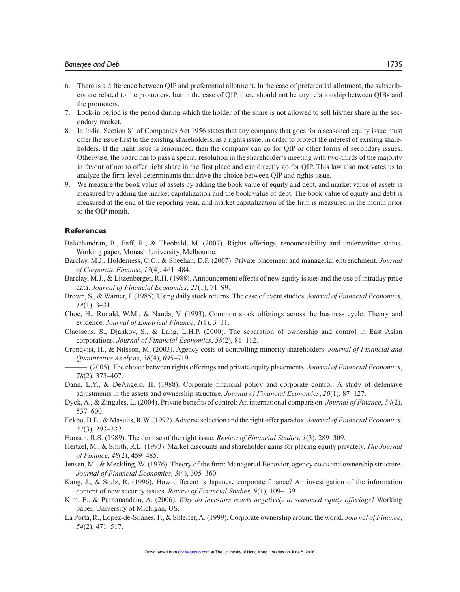- 6. There is a difference between QIP and preferential allotment. In the case of preferential allotment, the subscribers are related to the promoters, but in the case of QIP, there should not be any relationship between QIBs and the promoters.
- 7. Lock-in period is the period during which the holder of the share is not allowed to sell his/her share in the secondary market.
- 8. In India, Section 81 of Companies Act 1956 states that any company that goes for a seasoned equity issue must offer the issue first to the existing shareholders, as a rights issue, in order to protect the interest of existing shareholders. If the right issue is renounced, then the company can go for QIP or other forms of secondary issues. Otherwise, the board has to pass a special resolution in the shareholder's meeting with two-thirds of the majority in favour of not to offer right share in the first place and can directly go for QIP. This law also motivates us to analyze the firm-level determinants that drive the choice between QIP and rights issue.
- 9. We measure the book value of assets by adding the book value of equity and debt, and market value of assets is measured by adding the market capitalization and the book value of debt. The book value of equity and debt is measured at the end of the reporting year, and market capitalization of the firm is measured in the month prior to the QIP month.

#### **References**

- Balachandran, B., Faff, R., & Theobald, M. (2007). Rights offerings, renounceability and underwritten status. Working paper, Monash University, Melbourne.
- Barclay, M.J., Holderness, C.G., & Sheehan, D.P. (2007). Private placement and managerial entrenchment. *Journal of Corporate Finance*, *13*(4), 461–484.
- Barclay, M.J., & Litzenberger, R.H. (1988). Announcement effects of new equity issues and the use of intraday price data. *Journal of Financial Economics*, *21*(1), 71–99.
- Brown, S., & Warner, J. (1985). Using daily stock returns: The case of event studies. *Journal of Financial Economics*, *14*(1), 3–31.
- Choe, H., Ronald, W.M., & Nanda, V. (1993). Common stock offerings across the business cycle: Theory and evidence. *Journal of Empirical Finance*, *1*(1), 3–31.
- Claessens, S., Djankov, S., & Lang, L.H.P. (2000). The separation of ownership and control in East Asian corporations. *Journal of Financial Economics*, *58*(2), 81–112.
- Cronqvist, H., & Nilsson, M. (2003). Agency costs of controlling minority shareholders. *Journal of Financial and Quantitative Analysis*, *38*(4), 695–719.
	- ———. (2005). The choice between rights offerings and private equity placements. *Journal of Financial Economics*, *78*(2), 375–407.
- Dann, L.Y., & DeAngelo, H. (1988). Corporate financial policy and corporate control: A study of defensive adjustments in the assets and ownership structure. *Journal of Financial Economics*, *20*(1), 87–127.
- Dyck, A., & Zingales, L. (2004). Private benefits of control: An international comparison. *Journal of Finance*, *54*(2), 537–600.
- Eckbo, B.E., & Masulis, R.W. (1992). Adverse selection and the right offer paradox. *Journal of Financial Economics*, *32*(3), 293–332.
- Hansan, R.S. (1989). The demise of the right issue. *Review of Financial Studies*, *1*(3), 289–309.
- Hertzel, M., & Smith, R.L. (1993). Market discounts and shareholder gains for placing equity privately. *The Journal of Finance*, *48*(2), 459–485.
- Jensen, M., & Meckling, W. (1976). Theory of the firm: Managerial Behavior, agency costs and ownership structure. *Journal of Financial Economics*, *3*(4), 305–360.
- Kang, J., & Stulz, R. (1996). How different is Japanese corporate finance? An investigation of the information content of new security issues. *Review of Financial Studies*, *9*(1), 109–139.
- Kim, E., & Purnanandam, A. (2006). *Why do investors reacts negatively to seasoned equity offerings*? Working paper, University of Michigan, US.
- La Porta, R., Lopez-de-Silanes, F., & Shleifer, A. (1999). Corporate ownership around the world. *Journal of Finance*, *54*(2), 471–517.